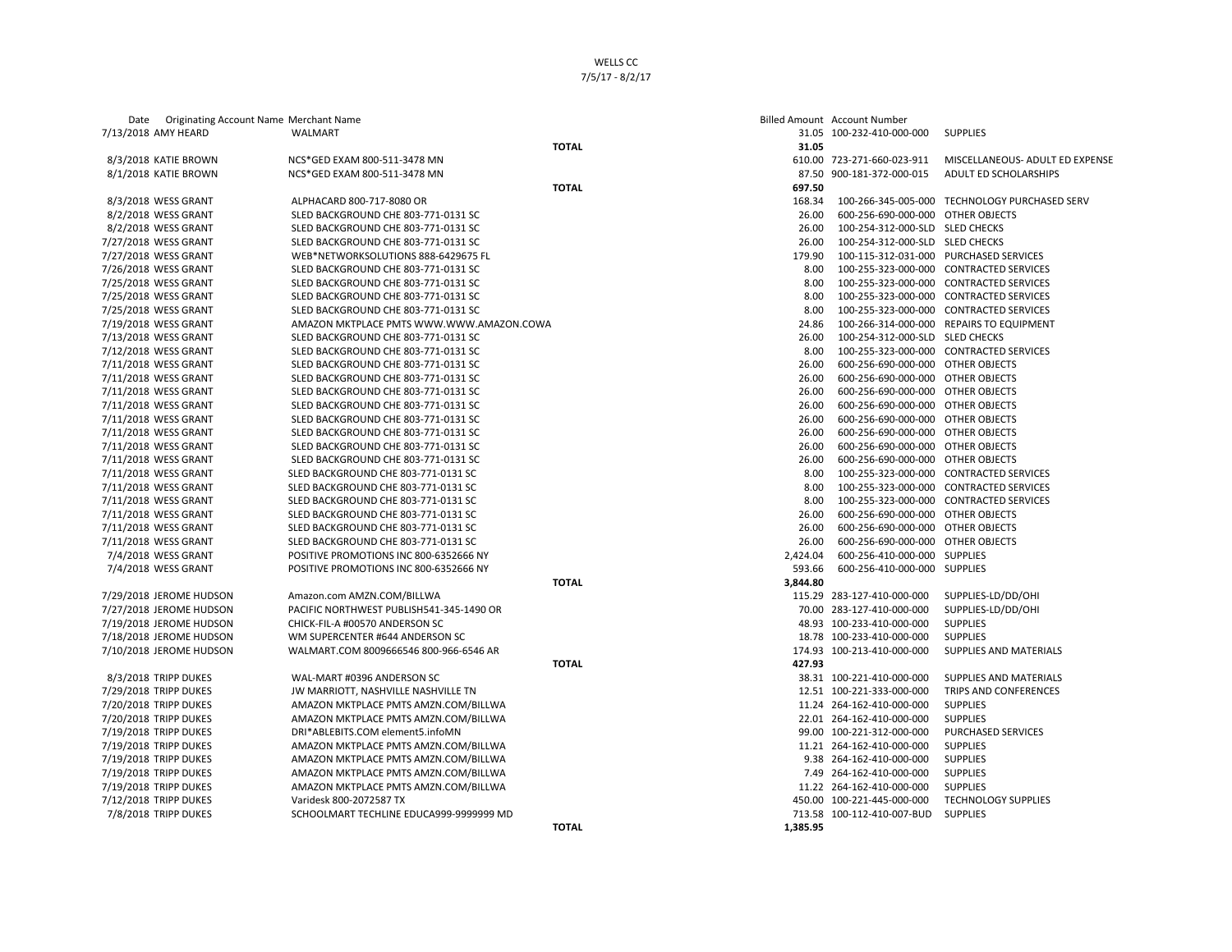| Date Originating Account Name Merchant Name    |                                                                              |              |          | <b>Billed Amount Account Number</b>                    |                                               |
|------------------------------------------------|------------------------------------------------------------------------------|--------------|----------|--------------------------------------------------------|-----------------------------------------------|
| 7/13/2018 AMY HEARD                            | WALMART                                                                      |              |          | 31.05 100-232-410-000-000                              | <b>SUPPLIES</b>                               |
|                                                |                                                                              | <b>TOTAL</b> | 31.05    |                                                        |                                               |
| 8/3/2018 KATIE BROWN                           | NCS*GED EXAM 800-511-3478 MN                                                 |              |          | 610.00 723-271-660-023-911                             | MISCELLANEOUS- ADULT ED EXPENSE               |
| 8/1/2018 KATIE BROWN                           | NCS*GED EXAM 800-511-3478 MN                                                 |              |          | 87.50 900-181-372-000-015                              | <b>ADULT ED SCHOLARSHIPS</b>                  |
|                                                |                                                                              | <b>TOTAL</b> | 697.50   |                                                        |                                               |
| 8/3/2018 WESS GRANT                            | ALPHACARD 800-717-8080 OR                                                    |              | 168.34   |                                                        | 100-266-345-005-000 TECHNOLOGY PURCHASED SERV |
| 8/2/2018 WESS GRANT                            | SLED BACKGROUND CHE 803-771-0131 SC                                          |              | 26.00    | 600-256-690-000-000                                    | OTHER OBJECTS                                 |
| 8/2/2018 WESS GRANT                            | SLED BACKGROUND CHE 803-771-0131 SC                                          |              | 26.00    | 100-254-312-000-SLD SLED CHECKS                        |                                               |
| 7/27/2018 WESS GRANT                           | SLED BACKGROUND CHE 803-771-0131 SC                                          |              | 26.00    | 100-254-312-000-SLD SLED CHECKS                        |                                               |
| 7/27/2018 WESS GRANT                           | WEB*NETWORKSOLUTIONS 888-6429675 FL                                          |              | 179.90   |                                                        | 100-115-312-031-000 PURCHASED SERVICES        |
| 7/26/2018 WESS GRANT                           | SLED BACKGROUND CHE 803-771-0131 SC                                          |              | 8.00     |                                                        | 100-255-323-000-000 CONTRACTED SERVICES       |
| 7/25/2018 WESS GRANT                           | SLED BACKGROUND CHE 803-771-0131 SC                                          |              | 8.00     |                                                        | 100-255-323-000-000 CONTRACTED SERVICES       |
| 7/25/2018 WESS GRANT                           | SLED BACKGROUND CHE 803-771-0131 SC                                          |              | 8.00     |                                                        | 100-255-323-000-000 CONTRACTED SERVICES       |
| 7/25/2018 WESS GRANT                           | SLED BACKGROUND CHE 803-771-0131 SC                                          |              | 8.00     |                                                        | 100-255-323-000-000 CONTRACTED SERVICES       |
| 7/19/2018 WESS GRANT                           | AMAZON MKTPLACE PMTS WWW.WWW.AMAZON.COWA                                     |              | 24.86    |                                                        | 100-266-314-000-000 REPAIRS TO EQUIPMENT      |
| 7/13/2018 WESS GRANT                           | SLED BACKGROUND CHE 803-771-0131 SC                                          |              | 26.00    | 100-254-312-000-SLD SLED CHECKS                        |                                               |
| 7/12/2018 WESS GRANT                           | SLED BACKGROUND CHE 803-771-0131 SC                                          |              | 8.00     |                                                        | 100-255-323-000-000 CONTRACTED SERVICES       |
| 7/11/2018 WESS GRANT                           | SLED BACKGROUND CHE 803-771-0131 SC                                          |              | 26.00    | 600-256-690-000-000 OTHER OBJECTS                      |                                               |
| 7/11/2018 WESS GRANT                           | SLED BACKGROUND CHE 803-771-0131 SC                                          |              | 26.00    | 600-256-690-000-000 OTHER OBJECTS                      |                                               |
| 7/11/2018 WESS GRANT                           | SLED BACKGROUND CHE 803-771-0131 SC                                          |              | 26.00    | 600-256-690-000-000 OTHER OBJECTS                      |                                               |
| 7/11/2018 WESS GRANT                           | SLED BACKGROUND CHE 803-771-0131 SC                                          |              | 26.00    | 600-256-690-000-000 OTHER OBJECTS                      |                                               |
| 7/11/2018 WESS GRANT                           | SLED BACKGROUND CHE 803-771-0131 SC                                          |              | 26.00    | 600-256-690-000-000 OTHER OBJECTS                      |                                               |
| 7/11/2018 WESS GRANT                           | SLED BACKGROUND CHE 803-771-0131 SC                                          |              | 26.00    | 600-256-690-000-000 OTHER OBJECTS                      |                                               |
| 7/11/2018 WESS GRANT                           | SLED BACKGROUND CHE 803-771-0131 SC                                          |              | 26.00    | 600-256-690-000-000 OTHER OBJECTS                      |                                               |
| 7/11/2018 WESS GRANT                           | SLED BACKGROUND CHE 803-771-0131 SC                                          |              | 26.00    | 600-256-690-000-000 OTHER OBJECTS                      |                                               |
| 7/11/2018 WESS GRANT                           | SLED BACKGROUND CHE 803-771-0131 SC                                          |              | 8.00     | 100-255-323-000-000                                    | <b>CONTRACTED SERVICES</b>                    |
| 7/11/2018 WESS GRANT                           | SLED BACKGROUND CHE 803-771-0131 SC                                          |              | 8.00     | 100-255-323-000-000                                    | <b>CONTRACTED SERVICES</b>                    |
| 7/11/2018 WESS GRANT                           | SLED BACKGROUND CHE 803-771-0131 SC                                          |              | 8.00     | 100-255-323-000-000                                    | <b>CONTRACTED SERVICES</b>                    |
| 7/11/2018 WESS GRANT                           | SLED BACKGROUND CHE 803-771-0131 SC                                          |              | 26.00    | 600-256-690-000-000 OTHER OBJECTS                      |                                               |
| 7/11/2018 WESS GRANT                           | SLED BACKGROUND CHE 803-771-0131 SC                                          |              | 26.00    | 600-256-690-000-000                                    | OTHER OBJECTS                                 |
| 7/11/2018 WESS GRANT                           | SLED BACKGROUND CHE 803-771-0131 SC                                          |              | 26.00    | 600-256-690-000-000 OTHER OBJECTS                      |                                               |
| 7/4/2018 WESS GRANT                            | POSITIVE PROMOTIONS INC 800-6352666 NY                                       |              | 2,424.04 | 600-256-410-000-000 SUPPLIES                           |                                               |
| 7/4/2018 WESS GRANT                            | POSITIVE PROMOTIONS INC 800-6352666 NY                                       |              | 593.66   | 600-256-410-000-000 SUPPLIES                           |                                               |
|                                                |                                                                              | <b>TOTAL</b> | 3,844.80 |                                                        |                                               |
| 7/29/2018 JEROME HUDSON                        | Amazon.com AMZN.COM/BILLWA                                                   |              |          | 115.29 283-127-410-000-000                             | SUPPLIES-LD/DD/OHI                            |
| 7/27/2018 JEROME HUDSON                        | PACIFIC NORTHWEST PUBLISH541-345-1490 OR                                     |              |          | 70.00 283-127-410-000-000                              | SUPPLIES-LD/DD/OHI                            |
| 7/19/2018 JEROME HUDSON                        | CHICK-FIL-A #00570 ANDERSON SC                                               |              |          | 48.93 100-233-410-000-000                              | <b>SUPPLIES</b>                               |
| 7/18/2018 JEROME HUDSON                        | WM SUPERCENTER #644 ANDERSON SC                                              |              |          | 18.78 100-233-410-000-000                              | <b>SUPPLIES</b>                               |
| 7/10/2018 JEROME HUDSON                        | WALMART.COM 8009666546 800-966-6546 AR                                       |              |          | 174.93 100-213-410-000-000                             | SUPPLIES AND MATERIALS                        |
|                                                |                                                                              | <b>TOTAL</b> | 427.93   |                                                        |                                               |
| 8/3/2018 TRIPP DUKES                           | WAL-MART #0396 ANDERSON SC                                                   |              |          | 38.31 100-221-410-000-000                              | SUPPLIES AND MATERIALS                        |
| 7/29/2018 TRIPP DUKES                          | JW MARRIOTT, NASHVILLE NASHVILLE TN                                          |              |          | 12.51 100-221-333-000-000                              | TRIPS AND CONFERENCES                         |
|                                                |                                                                              |              |          | 11.24 264-162-410-000-000                              | <b>SUPPLIES</b>                               |
| 7/20/2018 TRIPP DUKES<br>7/20/2018 TRIPP DUKES | AMAZON MKTPLACE PMTS AMZN.COM/BILLWA<br>AMAZON MKTPLACE PMTS AMZN.COM/BILLWA |              |          | 22.01 264-162-410-000-000                              | <b>SUPPLIES</b>                               |
|                                                |                                                                              |              |          |                                                        |                                               |
| 7/19/2018 TRIPP DUKES<br>7/19/2018 TRIPP DUKES | DRI*ABLEBITS.COM element5.infoMN<br>AMAZON MKTPLACE PMTS AMZN.COM/BILLWA     |              |          | 99.00 100-221-312-000-000<br>11.21 264-162-410-000-000 | PURCHASED SERVICES<br><b>SUPPLIES</b>         |
|                                                |                                                                              |              |          | 9.38 264-162-410-000-000                               | <b>SUPPLIES</b>                               |
| 7/19/2018 TRIPP DUKES                          | AMAZON MKTPLACE PMTS AMZN.COM/BILLWA                                         |              |          | 7.49 264-162-410-000-000                               | <b>SUPPLIES</b>                               |
| 7/19/2018 TRIPP DUKES                          | AMAZON MKTPLACE PMTS AMZN.COM/BILLWA                                         |              |          | 11.22 264-162-410-000-000                              |                                               |
| 7/19/2018 TRIPP DUKES                          | AMAZON MKTPLACE PMTS AMZN.COM/BILLWA                                         |              |          |                                                        | <b>SUPPLIES</b>                               |
| 7/12/2018 TRIPP DUKES                          | Varidesk 800-2072587 TX                                                      |              |          | 450.00 100-221-445-000-000                             | <b>TECHNOLOGY SUPPLIES</b>                    |

7/8/2018 TRIPP DUKES SCHOOLMART TECHLINE EDUCA999-9999999 MD

|              |          | <b>Billed Amount</b> Account Number |                                               |
|--------------|----------|-------------------------------------|-----------------------------------------------|
|              |          | 31.05 100-232-410-000-000           | <b>SUPPLIES</b>                               |
| <b>TOTAL</b> | 31.05    |                                     |                                               |
|              |          | 610.00 723-271-660-023-911          | MISCELLANEOUS- ADULT ED EXPEN!                |
|              |          | 87.50 900-181-372-000-015           | <b>ADULT ED SCHOLARSHIPS</b>                  |
| <b>TOTAL</b> | 697.50   |                                     |                                               |
|              | 168.34   |                                     | 100-266-345-005-000 TECHNOLOGY PURCHASED SERV |
|              | 26.00    | 600-256-690-000-000 OTHER OBJECTS   |                                               |
|              | 26.00    | 100-254-312-000-SLD SLED CHECKS     |                                               |
|              | 26.00    | 100-254-312-000-SLD SLED CHECKS     |                                               |
|              | 179.90   |                                     | 100-115-312-031-000 PURCHASED SERVICES        |
|              | 8.00     |                                     | 100-255-323-000-000 CONTRACTED SERVICES       |
|              |          |                                     |                                               |
|              | 8.00     |                                     | 100-255-323-000-000 CONTRACTED SERVICES       |
|              | 8.00     |                                     | 100-255-323-000-000 CONTRACTED SERVICES       |
|              | 8.00     |                                     | 100-255-323-000-000 CONTRACTED SERVICES       |
|              | 24.86    |                                     | 100-266-314-000-000 REPAIRS TO EQUIPMENT      |
|              | 26.00    | 100-254-312-000-SLD SLED CHECKS     |                                               |
|              | 8.00     |                                     | 100-255-323-000-000 CONTRACTED SERVICES       |
|              | 26.00    | 600-256-690-000-000 OTHER OBJECTS   |                                               |
|              | 26.00    | 600-256-690-000-000 OTHER OBJECTS   |                                               |
|              | 26.00    | 600-256-690-000-000 OTHER OBJECTS   |                                               |
|              | 26.00    | 600-256-690-000-000 OTHER OBJECTS   |                                               |
|              | 26.00    | 600-256-690-000-000 OTHER OBJECTS   |                                               |
|              | 26.00    | 600-256-690-000-000 OTHER OBJECTS   |                                               |
|              | 26.00    | 600-256-690-000-000 OTHER OBJECTS   |                                               |
|              | 26.00    | 600-256-690-000-000 OTHER OBJECTS   |                                               |
|              | 8.00     |                                     | 100-255-323-000-000 CONTRACTED SERVICES       |
|              | 8.00     |                                     | 100-255-323-000-000 CONTRACTED SERVICES       |
|              | 8.00     |                                     | 100-255-323-000-000 CONTRACTED SERVICES       |
|              | 26.00    | 600-256-690-000-000 OTHER OBJECTS   |                                               |
|              | 26.00    | 600-256-690-000-000 OTHER OBJECTS   |                                               |
|              | 26.00    | 600-256-690-000-000 OTHER OBJECTS   |                                               |
|              | 2,424.04 | 600-256-410-000-000 SUPPLIES        |                                               |
|              | 593.66   | 600-256-410-000-000 SUPPLIES        |                                               |
| <b>TOTAL</b> | 3,844.80 |                                     |                                               |
|              |          | 115.29 283-127-410-000-000          | SUPPLIES-LD/DD/OHI                            |
|              |          | 70.00 283-127-410-000-000           | SUPPLIES-LD/DD/OHI                            |
|              |          | 48.93 100-233-410-000-000           | <b>SUPPLIES</b>                               |
|              |          | 18.78 100-233-410-000-000           | <b>SUPPLIES</b>                               |
|              |          | 174.93 100-213-410-000-000          | SUPPLIES AND MATERIALS                        |
| <b>TOTAL</b> | 427.93   |                                     |                                               |
|              |          | 38.31 100-221-410-000-000           | SUPPLIES AND MATERIALS                        |
|              |          | 12.51 100-221-333-000-000           | TRIPS AND CONFERENCES                         |
|              |          | 11.24 264-162-410-000-000           | <b>SUPPLIES</b>                               |
|              |          | 22.01 264-162-410-000-000           | <b>SUPPLIES</b>                               |
|              |          | 99.00 100-221-312-000-000           | PURCHASED SERVICES                            |
|              |          | 11.21 264-162-410-000-000           | <b>SUPPLIES</b>                               |
|              |          | 9.38 264-162-410-000-000            | <b>SUPPLIES</b>                               |
|              |          |                                     |                                               |
|              |          | 7.49 264-162-410-000-000            | <b>SUPPLIES</b>                               |
|              |          | 11.22 264-162-410-000-000           | <b>SUPPLIES</b>                               |
|              |          | 450.00 100-221-445-000-000          | <b>TECHNOLOGY SUPPLIES</b>                    |
|              |          | 713.58 100-112-410-007-BUD          | <b>SUPPLIES</b>                               |
| <b>TOTAL</b> | 1,385.95 |                                     |                                               |